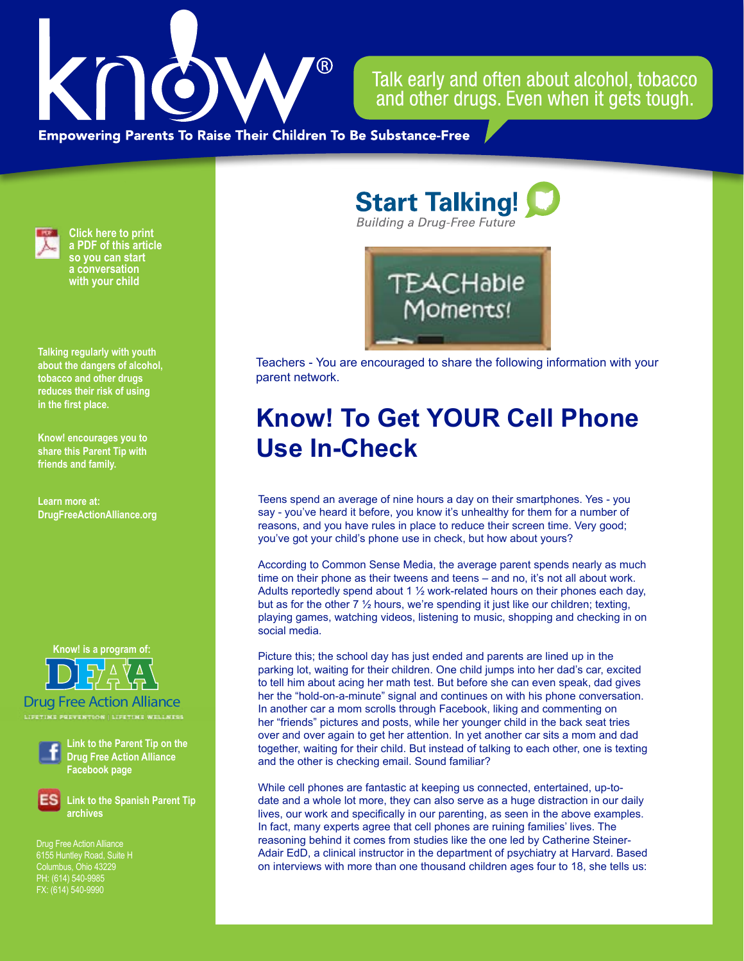

Talk early and often about alcohol, tobacco and other drugs. Even when it gets tough.

**Empowering Parents To Raise Their Children To Be Substance-Free** 



**Click here to print a PDF of this article so you can start a conversation with your child**

**Talking regularly with youth about the dangers of alcohol, tobacco and other drugs reduces their risk of using in the first place.**

**Know! encourages you to share this Parent Tip with friends and family.**

**Learn more at: DrugFreeActionAlliance.org**

**Know! is a program of:**

Drug Free Action Alliance

**LIFETIME PREVENTION | LIFETIME WELLNESS**



**Link to the Parent Tip on the Drug Free Action Alliance Facebook page**

**Link to the Spanish Parent Tip archives**

Drug Free Action Alliance 6155 Huntley Road, Suite H PH: (614) 540-9985 FX: (614) 540-9990

**Start Talking! Building a Drug-Free Future** 



Teachers - You are encouraged to share the following information with your parent network.

## **Know! To Get YOUR Cell Phone Use In-Check**

Teens spend an average of nine hours a day on their smartphones. Yes - you say - you've heard it before, you know it's unhealthy for them for a number of reasons, and you have rules in place to reduce their screen time. Very good; you've got your child's phone use in check, but how about yours?

According to Common Sense Media, the average parent spends nearly as much time on their phone as their tweens and teens – and no, it's not all about work. Adults reportedly spend about 1 ½ work-related hours on their phones each day, but as for the other  $7\frac{1}{2}$  hours, we're spending it just like our children; texting, playing games, watching videos, listening to music, shopping and checking in on social media.

Picture this; the school day has just ended and parents are lined up in the parking lot, waiting for their children. One child jumps into her dad's car, excited to tell him about acing her math test. But before she can even speak, dad gives her the "hold-on-a-minute" signal and continues on with his phone conversation. In another car a mom scrolls through Facebook, liking and commenting on her "friends" pictures and posts, while her younger child in the back seat tries over and over again to get her attention. In yet another car sits a mom and dad together, waiting for their child. But instead of talking to each other, one is texting and the other is checking email. Sound familiar?

While cell phones are fantastic at keeping us connected, entertained, up-todate and a whole lot more, they can also serve as a huge distraction in our daily lives, our work and specifically in our parenting, as seen in the above examples. In fact, many experts agree that cell phones are ruining families' lives. The reasoning behind it comes from studies like the one led by Catherine Steiner-Adair EdD, a clinical instructor in the department of psychiatry at Harvard. Based on interviews with more than one thousand children ages four to 18, she tells us: